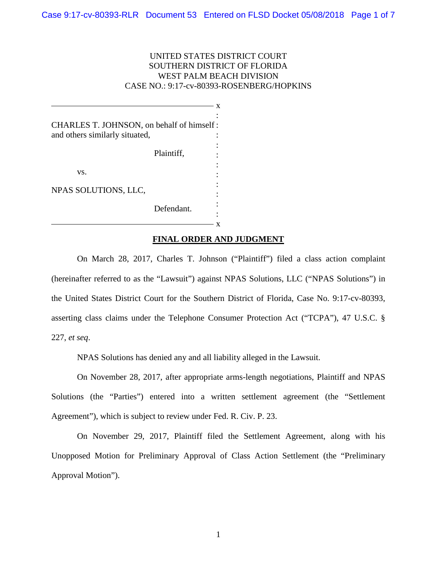## UNITED STATES DISTRICT COURT SOUTHERN DISTRICT OF FLORIDA WEST PALM BEACH DIVISION CASE NO.: 9:17-cv-80393-ROSENBERG/HOPKINS

|                                                                             | Defendant. |  |
|-----------------------------------------------------------------------------|------------|--|
| NPAS SOLUTIONS, LLC,                                                        |            |  |
| VS.                                                                         | Plaintiff, |  |
| CHARLES T. JOHNSON, on behalf of himself:<br>and others similarly situated, |            |  |

## **FINAL ORDER AND JUDGMENT**

On March 28, 2017, Charles T. Johnson ("Plaintiff") filed a class action complaint (hereinafter referred to as the "Lawsuit") against NPAS Solutions, LLC ("NPAS Solutions") in the United States District Court for the Southern District of Florida, Case No. 9:17-cv-80393, asserting class claims under the Telephone Consumer Protection Act ("TCPA"), 47 U.S.C. § 227, *et seq*.

NPAS Solutions has denied any and all liability alleged in the Lawsuit.

On November 28, 2017, after appropriate arms-length negotiations, Plaintiff and NPAS Solutions (the "Parties") entered into a written settlement agreement (the "Settlement Agreement"), which is subject to review under Fed. R. Civ. P. 23.

On November 29, 2017, Plaintiff filed the Settlement Agreement, along with his Unopposed Motion for Preliminary Approval of Class Action Settlement (the "Preliminary Approval Motion").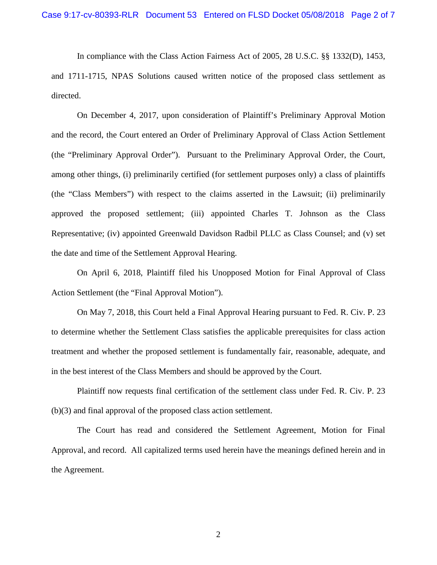In compliance with the Class Action Fairness Act of 2005, 28 U.S.C. §§ 1332(D), 1453, and 1711-1715, NPAS Solutions caused written notice of the proposed class settlement as directed.

On December 4, 2017, upon consideration of Plaintiff's Preliminary Approval Motion and the record, the Court entered an Order of Preliminary Approval of Class Action Settlement (the "Preliminary Approval Order"). Pursuant to the Preliminary Approval Order, the Court, among other things, (i) preliminarily certified (for settlement purposes only) a class of plaintiffs (the "Class Members") with respect to the claims asserted in the Lawsuit; (ii) preliminarily approved the proposed settlement; (iii) appointed Charles T. Johnson as the Class Representative; (iv) appointed Greenwald Davidson Radbil PLLC as Class Counsel; and (v) set the date and time of the Settlement Approval Hearing.

On April 6, 2018, Plaintiff filed his Unopposed Motion for Final Approval of Class Action Settlement (the "Final Approval Motion").

On May 7, 2018, this Court held a Final Approval Hearing pursuant to Fed. R. Civ. P. 23 to determine whether the Settlement Class satisfies the applicable prerequisites for class action treatment and whether the proposed settlement is fundamentally fair, reasonable, adequate, and in the best interest of the Class Members and should be approved by the Court.

Plaintiff now requests final certification of the settlement class under Fed. R. Civ. P. 23 (b)(3) and final approval of the proposed class action settlement.

The Court has read and considered the Settlement Agreement, Motion for Final Approval, and record. All capitalized terms used herein have the meanings defined herein and in the Agreement.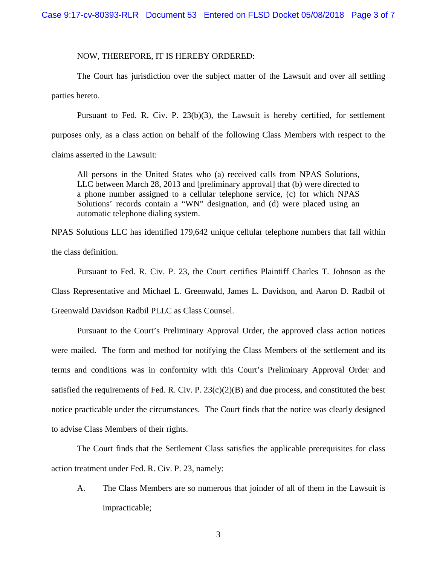## NOW, THEREFORE, IT IS HEREBY ORDERED:

The Court has jurisdiction over the subject matter of the Lawsuit and over all settling parties hereto.

Pursuant to Fed. R. Civ. P. 23(b)(3), the Lawsuit is hereby certified, for settlement purposes only, as a class action on behalf of the following Class Members with respect to the claims asserted in the Lawsuit:

All persons in the United States who (a) received calls from NPAS Solutions, LLC between March 28, 2013 and [preliminary approval] that (b) were directed to a phone number assigned to a cellular telephone service, (c) for which NPAS Solutions' records contain a "WN" designation, and (d) were placed using an automatic telephone dialing system.

NPAS Solutions LLC has identified 179,642 unique cellular telephone numbers that fall within the class definition.

Pursuant to Fed. R. Civ. P. 23, the Court certifies Plaintiff Charles T. Johnson as the

Class Representative and Michael L. Greenwald, James L. Davidson, and Aaron D. Radbil of

Greenwald Davidson Radbil PLLC as Class Counsel.

Pursuant to the Court's Preliminary Approval Order, the approved class action notices were mailed. The form and method for notifying the Class Members of the settlement and its terms and conditions was in conformity with this Court's Preliminary Approval Order and satisfied the requirements of Fed. R. Civ. P.  $23(c)(2)(B)$  and due process, and constituted the best notice practicable under the circumstances. The Court finds that the notice was clearly designed to advise Class Members of their rights.

The Court finds that the Settlement Class satisfies the applicable prerequisites for class action treatment under Fed. R. Civ. P. 23, namely:

A. The Class Members are so numerous that joinder of all of them in the Lawsuit is impracticable;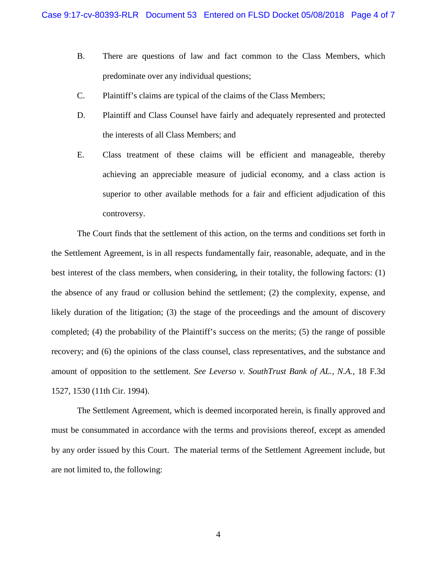- B. There are questions of law and fact common to the Class Members, which predominate over any individual questions;
- C. Plaintiff's claims are typical of the claims of the Class Members;
- D. Plaintiff and Class Counsel have fairly and adequately represented and protected the interests of all Class Members; and
- E. Class treatment of these claims will be efficient and manageable, thereby achieving an appreciable measure of judicial economy, and a class action is superior to other available methods for a fair and efficient adjudication of this controversy.

The Court finds that the settlement of this action, on the terms and conditions set forth in the Settlement Agreement, is in all respects fundamentally fair, reasonable, adequate, and in the best interest of the class members, when considering, in their totality, the following factors: (1) the absence of any fraud or collusion behind the settlement; (2) the complexity, expense, and likely duration of the litigation; (3) the stage of the proceedings and the amount of discovery completed; (4) the probability of the Plaintiff's success on the merits; (5) the range of possible recovery; and (6) the opinions of the class counsel, class representatives, and the substance and amount of opposition to the settlement. *See Leverso v. SouthTrust Bank of AL., N.A.*, 18 F.3d 1527, 1530 (11th Cir. 1994).

The Settlement Agreement, which is deemed incorporated herein, is finally approved and must be consummated in accordance with the terms and provisions thereof, except as amended by any order issued by this Court. The material terms of the Settlement Agreement include, but are not limited to, the following: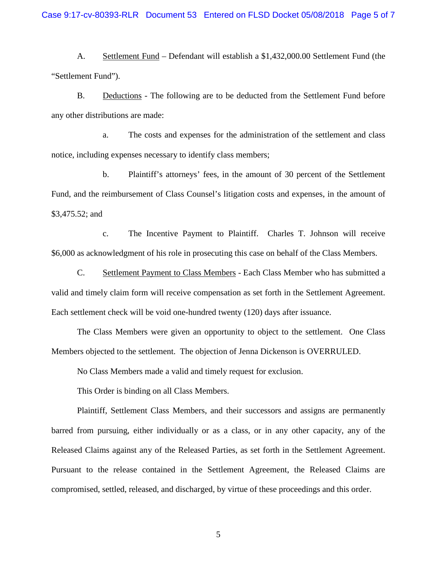A. Settlement Fund – Defendant will establish a \$1,432,000.00 Settlement Fund (the "Settlement Fund").

B. Deductions - The following are to be deducted from the Settlement Fund before any other distributions are made:

a. The costs and expenses for the administration of the settlement and class notice, including expenses necessary to identify class members;

b. Plaintiff's attorneys' fees, in the amount of 30 percent of the Settlement Fund, and the reimbursement of Class Counsel's litigation costs and expenses, in the amount of \$3,475.52; and

c. The Incentive Payment to Plaintiff. Charles T. Johnson will receive \$6,000 as acknowledgment of his role in prosecuting this case on behalf of the Class Members.

C. Settlement Payment to Class Members - Each Class Member who has submitted a valid and timely claim form will receive compensation as set forth in the Settlement Agreement. Each settlement check will be void one-hundred twenty (120) days after issuance.

The Class Members were given an opportunity to object to the settlement. One Class Members objected to the settlement. The objection of Jenna Dickenson is OVERRULED.

No Class Members made a valid and timely request for exclusion.

This Order is binding on all Class Members.

Plaintiff, Settlement Class Members, and their successors and assigns are permanently barred from pursuing, either individually or as a class, or in any other capacity, any of the Released Claims against any of the Released Parties, as set forth in the Settlement Agreement. Pursuant to the release contained in the Settlement Agreement, the Released Claims are compromised, settled, released, and discharged, by virtue of these proceedings and this order.

5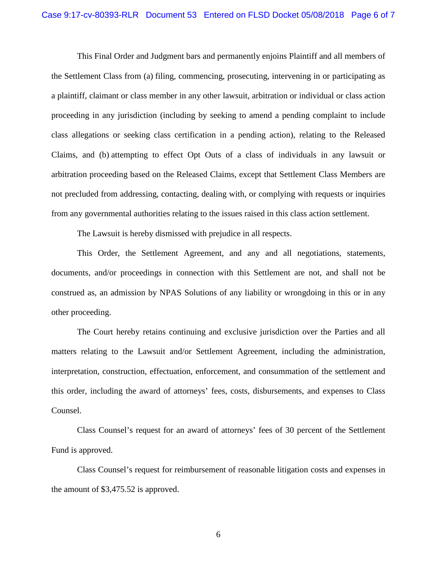This Final Order and Judgment bars and permanently enjoins Plaintiff and all members of the Settlement Class from (a) filing, commencing, prosecuting, intervening in or participating as a plaintiff, claimant or class member in any other lawsuit, arbitration or individual or class action proceeding in any jurisdiction (including by seeking to amend a pending complaint to include class allegations or seeking class certification in a pending action), relating to the Released Claims, and (b) attempting to effect Opt Outs of a class of individuals in any lawsuit or arbitration proceeding based on the Released Claims, except that Settlement Class Members are not precluded from addressing, contacting, dealing with, or complying with requests or inquiries from any governmental authorities relating to the issues raised in this class action settlement.

The Lawsuit is hereby dismissed with prejudice in all respects.

This Order, the Settlement Agreement, and any and all negotiations, statements, documents, and/or proceedings in connection with this Settlement are not, and shall not be construed as, an admission by NPAS Solutions of any liability or wrongdoing in this or in any other proceeding.

The Court hereby retains continuing and exclusive jurisdiction over the Parties and all matters relating to the Lawsuit and/or Settlement Agreement, including the administration, interpretation, construction, effectuation, enforcement, and consummation of the settlement and this order, including the award of attorneys' fees, costs, disbursements, and expenses to Class Counsel.

Class Counsel's request for an award of attorneys' fees of 30 percent of the Settlement Fund is approved.

Class Counsel's request for reimbursement of reasonable litigation costs and expenses in the amount of \$3,475.52 is approved.

6